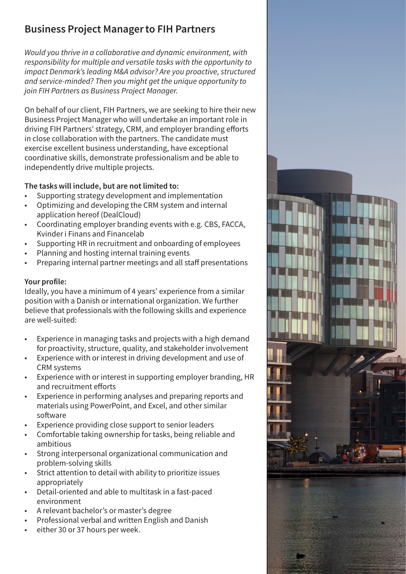# Business Project Manager to FIH Partners

*Would you thrive in a collaborative and dynamic environment, with responsibility for multiple and versatile tasks with the opportunity to impact Denmark's leading M&A advisor? Are you proactive, structured and service-minded? Then you might get the unique opportunity to join FIH Partners as Business Project Manager.*

On behalf of our client, FIH Partners, we are seeking to hire their new Business Project Manager who will undertake an important role in driving FIH Partners' strategy, CRM, and employer branding efforts in close collaboration with the partners. The candidate must exercise excellent business understanding, have exceptional coordinative skills, demonstrate professionalism and be able to independently drive multiple projects.

# The tasks will include, but are not limited to:

- Supporting strategy development and implementation
- Optimizing and developing the CRM system and internal application hereof (DealCloud)
- Coordinating employer branding events with e.g. CBS, FACCA, Kvinder i Finans and Financelab
- Supporting HR in recruitment and onboarding of employees
- Planning and hosting internal training events
- Preparing internal partner meetings and all staff presentations

## Your profile:

Ideally, you have a minimum of 4 years' experience from a similar position with a Danish or international organization. We further believe that professionals with the following skills and experience are well-suited:

- Experience in managing tasks and projects with a high demand for proactivity, structure, quality, and stakeholder involvement
- Experience with or interest in driving development and use of CRM systems
- Experience with or interest in supporting employer branding, HR and recruitment efforts
- Experience in performing analyses and preparing reports and materials using PowerPoint, and Excel, and other similar software
- Experience providing close support to senior leaders
- Comfortable taking ownership for tasks, being reliable and ambitious
- Strong interpersonal organizational communication and problem-solving skills
- Strict attention to detail with ability to prioritize issues appropriately
- Detail-oriented and able to multitask in a fast-paced environment
- A relevant bachelor's or master's degree
- Professional verbal and written English and Danish
- either 30 or 37 hours per week.